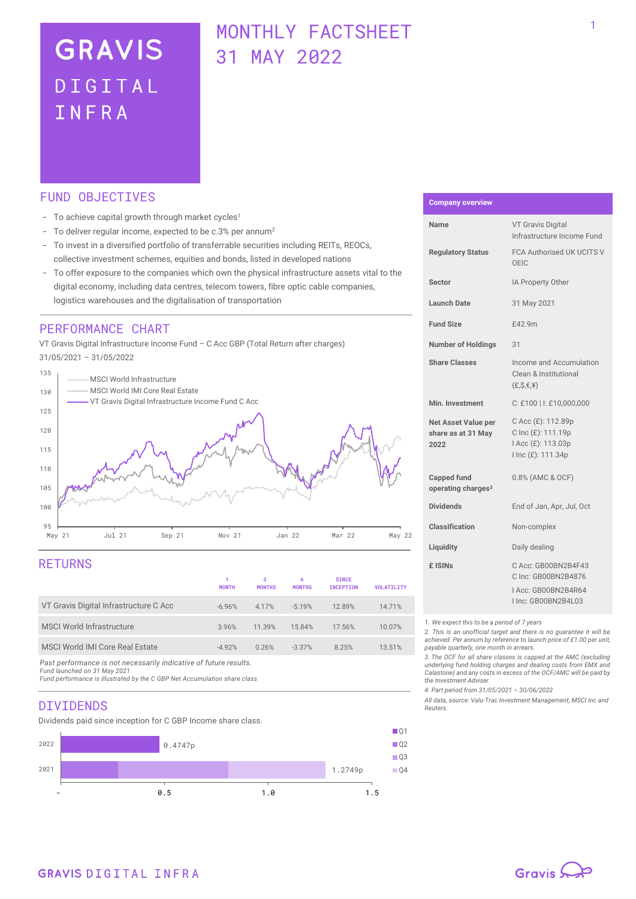# **GRAVIS** DIGITAL TNFRA

## MONTHLY FACTSHEET 31 MAY 2022

## FUND OBJECTIVES

- To achieve capital growth through market cycles<sup>1</sup>
- To deliver regular income, expected to be c.3% per annum<sup>2</sup>
- To invest in a diversified portfolio of transferrable securities including REITs, REOCs, collective investment schemes, equities and bonds, listed in developed nations
- To offer exposure to the companies which own the physical infrastructure assets vital to the digital economy, including data centres, telecom towers, fibre optic cable companies, logistics warehouses and the digitalisation of transportation

## PERFORMANCE CHART

VT Gravis Digital Infrastructure Income Fund – C Acc GBP (Total Return after charges) 31/05/2021 – 31/05/2022



## RETURNS

|                                        | 1<br><b>MONTH</b> | з<br><b>MONTHS</b> | 6<br><b>MONTHS</b> | <b>SINCE</b><br><b>INCEPTION</b> | <b>VOLATILITY</b> |
|----------------------------------------|-------------------|--------------------|--------------------|----------------------------------|-------------------|
| VT Gravis Digital Infrastructure C Acc | $-6.96%$          | 4.17%              | $-5.19%$           | 12.89%                           | 14.71%            |
| <b>MSCI World Infrastructure</b>       | 3.96%             | 11.39%             | 15.84%             | 17.56%                           | 10.07%            |
| MSCI World IMI Core Real Estate        | $-4.92%$          | 0.26%              | $-3.37%$           | 8.25%                            | 13.51%            |

*Past performance is not necessarily indicative of future results. Fund launched on 31 May 2021*

*Fund performance is illustrated by the C GBP Net Accumulation share class*

## DIVIDENDS

Dividends paid since inception for C GBP Income share class.



#### **Company overview**

| Name                                                     | <b>VT Gravis Digital</b><br>Infrastructure Income Fund                                  |  |  |
|----------------------------------------------------------|-----------------------------------------------------------------------------------------|--|--|
| <b>Regulatory Status</b>                                 | FCA Authorised UK UCITS V<br>OEIC                                                       |  |  |
| <b>Sector</b>                                            | IA Property Other                                                                       |  |  |
| Launch Date                                              | 31 May 2021                                                                             |  |  |
| <b>Fund Size</b>                                         | £42.9m                                                                                  |  |  |
| <b>Number of Holdings</b>                                | 31                                                                                      |  |  |
| <b>Share Classes</b>                                     | Income and Accumulation<br>Clean & Institutional<br>(E.S, E, Y)                         |  |  |
| Min. Investment                                          | C: £100   I: £10,000,000                                                                |  |  |
| <b>Net Asset Value per</b><br>share as at 31 May<br>2022 | C Acc (£): 112.89p<br>C Inc (£): 111.19p<br>I Acc (£): 113.03p<br>I Inc (£): 111.34p    |  |  |
| <b>Capped fund</b><br>operating charges <sup>3</sup>     | 0.8% (AMC & OCF)                                                                        |  |  |
| <b>Dividends</b>                                         | End of Jan, Apr, Jul, Oct                                                               |  |  |
| <b>Classification</b>                                    | Non-complex                                                                             |  |  |
| Liquidity                                                | Daily dealing                                                                           |  |  |
| £ ISINs                                                  | C Acc: GB00BN2B4F43<br>C Inc: GB00BN2B4876<br>LAcc: GB00BN2B4R64<br>I Inc: GB00BN2B4L03 |  |  |

*1. We expect this to be a period of 7 years*

*2. This is an unofficial target and there is no guarantee it will be achieved. Per annum by reference to launch price of £1.00 per unit, payable quarterly, one month in arrears.*

*3. The OCF for all share classes is capped at the AMC (excluding underlying fund holding charges and dealing costs from EMX and Calastone) and any costs in excess of the OCF/AMC will be paid by the Investment Adviser.* 

*4. Part period from 31/05/2021 – 30/06/2022*

*All data, source: Valu-Trac Investment Management, MSCI Inc and Reuters.*

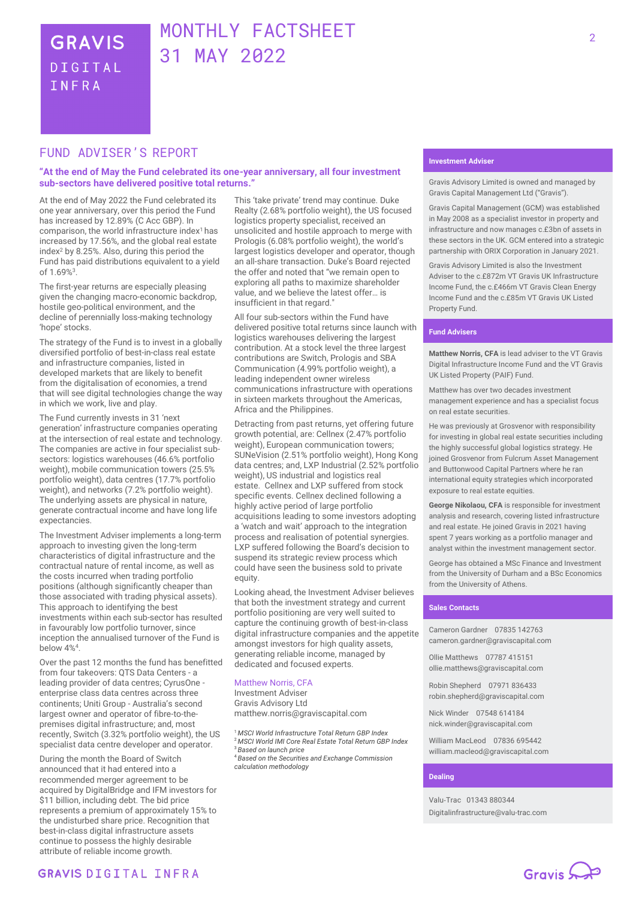## MONTHLY FACTSHEET 31 MAY 2022

## FUND ADVISER'S REPORT

#### **"At the end of May the Fund celebrated its one-year anniversary, all four investment sub-sectors have delivered positive total returns."**

At the end of May 2022 the Fund celebrated its one year anniversary, over this period the Fund has increased by 12.89% (C Acc GBP). In comparison, the world infrastructure index<sup>1</sup>has increased by 17.56%, and the global real estate index<sup>2</sup> by 8.25%. Also, during this period the Fund has paid distributions equivalent to a yield of 1.69%<sup>3</sup> .

The first-year returns are especially pleasing given the changing macro-economic backdrop, hostile geo-political environment, and the decline of perennially loss-making technology 'hope' stocks.

The strategy of the Fund is to invest in a globally diversified portfolio of best-in-class real estate and infrastructure companies, listed in developed markets that are likely to benefit from the digitalisation of economies, a trend that will see digital technologies change the way in which we work, live and play.

The Fund currently invests in 31 'next generation' infrastructure companies operating at the intersection of real estate and technology. The companies are active in four specialist subsectors: logistics warehouses (46.6% portfolio weight), mobile communication towers (25.5% portfolio weight), data centres (17.7% portfolio weight), and networks (7.2% portfolio weight). The underlying assets are physical in nature, generate contractual income and have long life expectancies.

The Investment Adviser implements a long-term approach to investing given the long-term characteristics of digital infrastructure and the contractual nature of rental income, as well as the costs incurred when trading portfolio positions (although significantly cheaper than those associated with trading physical assets). This approach to identifying the best investments within each sub-sector has resulted in favourably low portfolio turnover, since inception the annualised turnover of the Fund is below 4%<sup>4</sup> .

Over the past 12 months the fund has benefitted from four takeovers: QTS Data Centers - a leading provider of data centres; CyrusOne enterprise class data centres across three continents; Uniti Group - Australia's second largest owner and operator of fibre-to-thepremises digital infrastructure; and, most recently, Switch (3.32% portfolio weight), the US specialist data centre developer and operator.

During the month the Board of Switch announced that it had entered into a recommended merger agreement to be acquired by DigitalBridge and IFM investors for \$11 billion, including debt. The bid price represents a premium of approximately 15% to the undisturbed share price. Recognition that best-in-class digital infrastructure assets continue to possess the highly desirable attribute of reliable income growth.

This 'take private' trend may continue. Duke Realty (2.68% portfolio weight), the US focused logistics property specialist, received an unsolicited and hostile approach to merge with Prologis (6.08% portfolio weight), the world's largest logistics developer and operator, though an all-share transaction. Duke's Board rejected the offer and noted that "we remain open to exploring all paths to maximize shareholder value, and we believe the latest offer… is insufficient in that regard."

All four sub-sectors within the Fund have delivered positive total returns since launch with logistics warehouses delivering the largest contribution. At a stock level the three largest contributions are Switch, Prologis and SBA Communication (4.99% portfolio weight), a leading independent owner wireless communications infrastructure with operations in sixteen markets throughout the Americas, Africa and the Philippines.

Detracting from past returns, yet offering future growth potential, are: Cellnex (2.47% portfolio weight), European communication towers; SUNeVision (2.51% portfolio weight), Hong Kong data centres; and, LXP Industrial (2.52% portfolio weight), US industrial and logistics real estate. Cellnex and LXP suffered from stock specific events. Cellnex declined following a highly active period of large portfolio acquisitions leading to some investors adopting a 'watch and wait' approach to the integration process and realisation of potential synergies. LXP suffered following the Board's decision to suspend its strategic review process which could have seen the business sold to private equity.

Looking ahead, the Investment Adviser believes that both the investment strategy and current portfolio positioning are very well suited to capture the continuing growth of best-in-class digital infrastructure companies and the appetite amongst investors for high quality assets, generating reliable income, managed by dedicated and focused experts.

#### Matthew Norris, CFA

Investment Adviser Gravis Advisory Ltd matthew.norris@graviscapital.com

<sup>1</sup> *MSCI World Infrastructure Total Return GBP Index* <sup>2</sup>*MSCI World IMI Core Real Estate Total Return GBP Index* <sup>3</sup> *Based on launch price*

<sup>4</sup> *Based on the Securities and Exchange Commission calculation methodology*

#### **Investment Adviser**

Gravis Advisory Limited is owned and managed by Gravis Capital Management Ltd ("Gravis").

Gravis Capital Management (GCM) was established in May 2008 as a specialist investor in property and infrastructure and now manages c.£3bn of assets in these sectors in the UK. GCM entered into a strategic partnership with ORIX Corporation in January 2021.

Gravis Advisory Limited is also the Investment Adviser to the c.£872m VT Gravis UK Infrastructure Income Fund, the c.£466m VT Gravis Clean Energy Income Fund and the c.£85m VT Gravis UK Listed Property Fund.

#### **Fund Advisers**

**Matthew Norris, CFA** is lead adviser to the VT Gravis Digital Infrastructure Income Fund and the VT Gravis UK Listed Property (PAIF) Fund.

Matthew has over two decades investment management experience and has a specialist focus on real estate securities.

He was previously at Grosvenor with responsibility for investing in global real estate securities including the highly successful global logistics strategy. He joined Grosvenor from Fulcrum Asset Management and Buttonwood Capital Partners where he ran international equity strategies which incorporated exposure to real estate equities.

**George Nikolaou, CFA** is responsible for investment analysis and research, covering listed infrastructure and real estate. He joined Gravis in 2021 having spent 7 years working as a portfolio manager and analyst within the investment management sector.

George has obtained a MSc Finance and Investment from the University of Durham and a BSc Economics from the University of Athens.

#### **Sales Contacts**

Cameron Gardner 07835 142763 cameron.gardner@graviscapital.com

Ollie Matthews 07787 415151 [ollie.matthews@graviscapital.com](mailto:ollie.matthews@graviscapital.com)

Robin Shepherd 07971 836433 [robin.shepherd@graviscapital.com](mailto:robin.shepherd@graviscapital.com)

Nick Winder [07548 614184](tel:07548%20614184) nick.winder@graviscapital.com

William MacLeod 07836 695442 [william.macleod@graviscapital.com](mailto:william.macleod@graviscapital.com)

#### **Dealing**

Valu‑Trac 01343 880344 Digitalinfrastructure@valu-trac.com